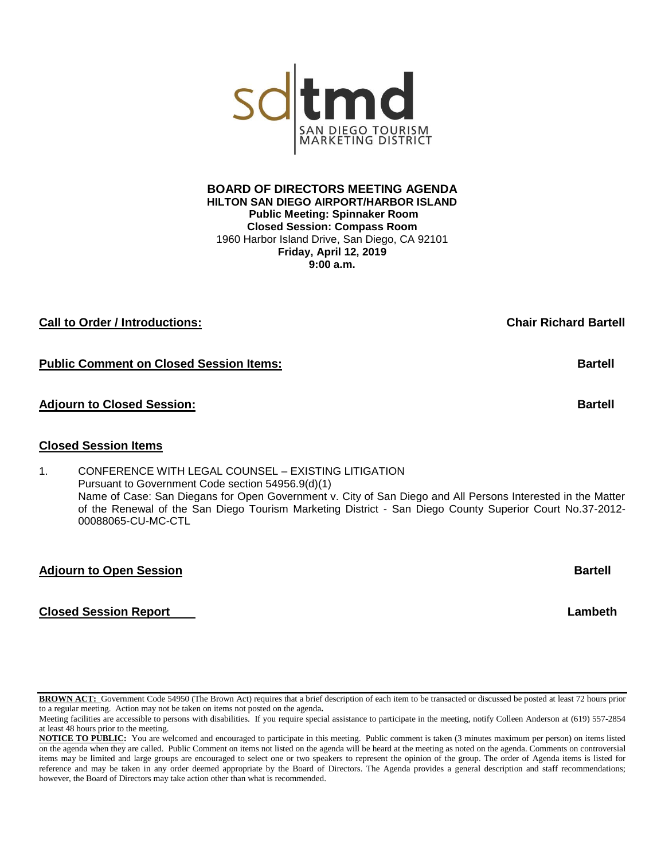**HILTON SAN DIEGO AIRPORT/HARBOR ISLAND Public Meeting: Spinnaker Room Closed Session: Compass Room** 1960 Harbor Island Drive, San Diego, CA 92101 **Friday, April 12, 2019 9:00 a.m.**

# **Call to Order / Introductions: Chair Richard Bartell**

# **Public Comment on Closed Session Items: According to According the Comment on Closed Session Items:** Bartell

# **Adjourn to Closed Session: Bartell**

## **Closed Session Items**

1. CONFERENCE WITH LEGAL COUNSEL – EXISTING LITIGATION Pursuant to Government Code section 54956.9(d)(1) Name of Case: San Diegans for Open Government v. City of San Diego and All Persons Interested in the Matter of the Renewal of the San Diego Tourism Marketing District - San Diego County Superior Court No.37-2012- 00088065-CU-MC-CTL

## **Adjourn to Open Session Bartell**

# **Closed Session Report Lambeth**

**BROWN ACT:** Government Code 54950 (The Brown Act) requires that a brief description of each item to be transacted or discussed be posted at least 72 hours prior to a regular meeting. Action may not be taken on items not posted on the agenda**.**

# **BOARD OF DIRECTORS MEETING AGENDA**

SC Em DIEGO TOURISM

Meeting facilities are accessible to persons with disabilities. If you require special assistance to participate in the meeting, notify Colleen Anderson at (619) 557-2854 at least 48 hours prior to the meeting.

**NOTICE TO PUBLIC:** You are welcomed and encouraged to participate in this meeting. Public comment is taken (3 minutes maximum per person) on items listed on the agenda when they are called. Public Comment on items not listed on the agenda will be heard at the meeting as noted on the agenda. Comments on controversial items may be limited and large groups are encouraged to select one or two speakers to represent the opinion of the group. The order of Agenda items is listed for reference and may be taken in any order deemed appropriate by the Board of Directors. The Agenda provides a general description and staff recommendations; however, the Board of Directors may take action other than what is recommended.